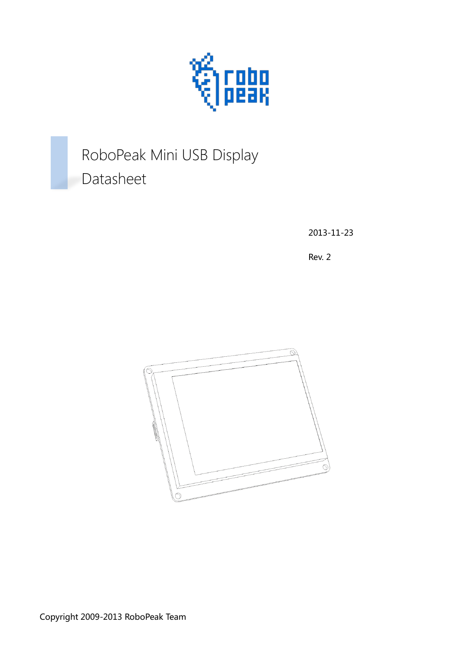

# RoboPeak Mini USB Display Datasheet

2013-11-23

Rev. 2

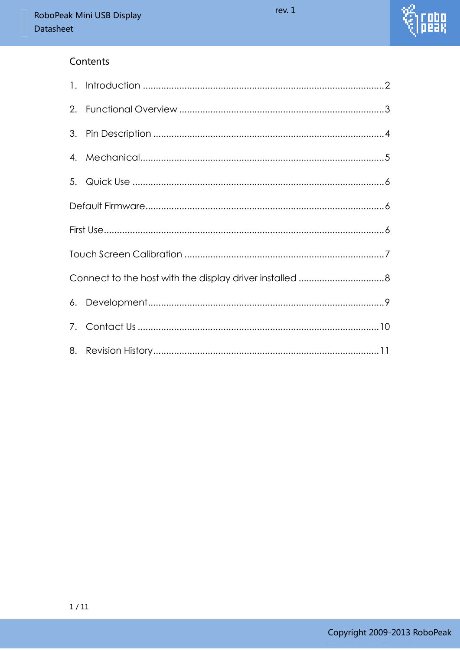

#### Contents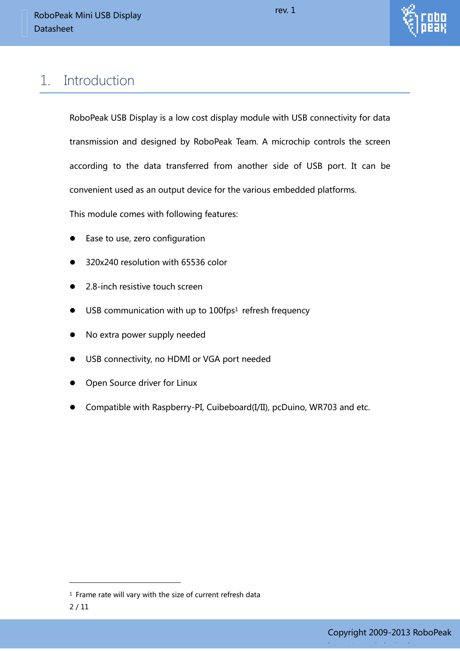

## <span id="page-2-0"></span>1. Introduction

RoboPeak USB Display is a low cost display module with USB connectivity for data transmission and designed by RoboPeak Team. A microchip controls the screen according to the data transferred from another side of USB port. It can be convenient used as an output device for the various embedded platforms.

This module comes with following features:

- Ease to use, zero configuration
- 320x240 resolution with 65536 color
- 2.8-inch resistive touch screen
- USB communication with up to 100fps<sup>1</sup> refresh frequency
- No extra power supply needed
- USB connectivity, no HDMI or VGA port needed
- Open Source driver for Linux
- Compatible with Raspberry-PI, Cuibeboard(I/II), pcDuino, WR703 and etc.

-

<sup>&</sup>lt;sup>1</sup> Frame rate will vary with the size of current refresh data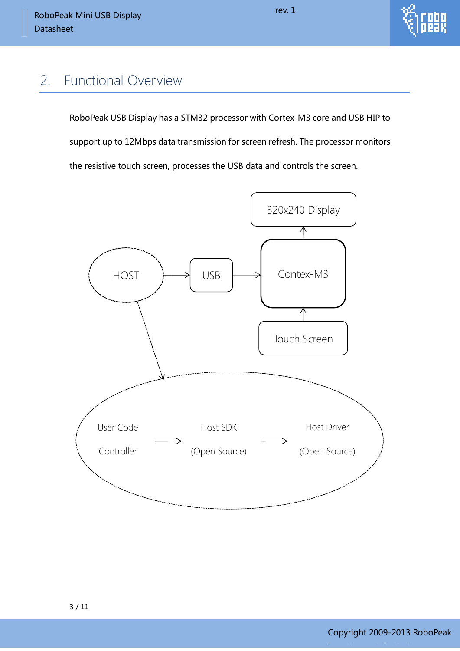

#### <span id="page-3-0"></span>2. Functional Overview

RoboPeak USB Display has a STM32 processor with Cortex-M3 core and USB HIP to support up to 12Mbps data transmission for screen refresh. The processor monitors the resistive touch screen, processes the USB data and controls the screen.

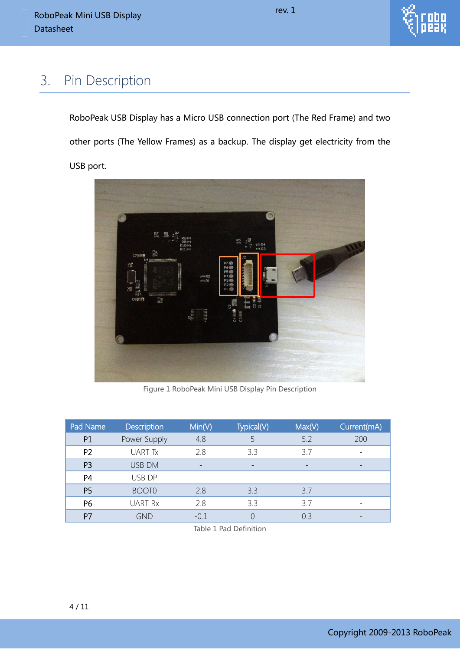

#### <span id="page-4-0"></span>3. Pin Description

RoboPeak USB Display has a Micro USB connection port (The Red Frame) and two other ports (The Yellow Frames) as a backup. The display get electricity from the USB port.



Figure 1 RoboPeak Mini USB Display Pin Description

| Pad Name       | <b>Description</b> | Min(V) | Typical(V) | Max(V) | Current(mA) |
|----------------|--------------------|--------|------------|--------|-------------|
| P <sub>1</sub> | Power Supply       | 4.8    |            | 5.2    | 200         |
| P <sub>2</sub> | <b>UART Tx</b>     | 28     | 33         | 37     |             |
| P <sub>3</sub> | <b>USB DM</b>      |        |            |        |             |
| P <sub>4</sub> | USB DP             |        |            |        |             |
| P <sub>5</sub> | <b>BOOTO</b>       | 2.8    | 3.3        | 3.7    |             |
| P6             | <b>UART Rx</b>     | 2.8    | 3.3        | 3.7    |             |
| P7             | GND                | $-0.1$ |            | 0.3    |             |

Table 1 Pad Definition

http://www.RoboPeak.com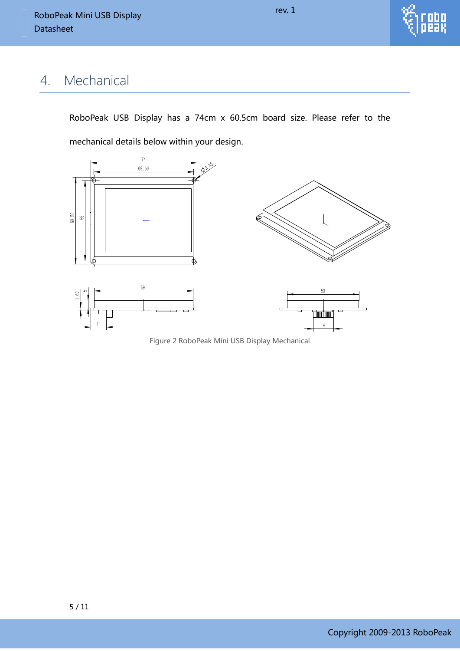## <span id="page-5-0"></span>4. Mechanical

RoboPeak USB Display has a 74cm x 60.5cm board size. Please refer to the mechanical details below within your design.

rev. 1



Figure 2 RoboPeak Mini USB Display Mechanical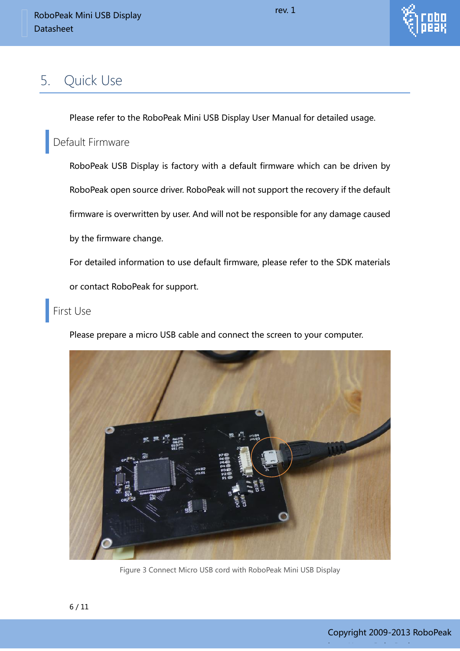

### <span id="page-6-0"></span>5. Quick Use

Please refer to the RoboPeak Mini USB Display User Manual for detailed usage.

#### <span id="page-6-1"></span>Default Firmware

RoboPeak USB Display is factory with a default firmware which can be driven by RoboPeak open source driver. RoboPeak will not support the recovery if the default firmware is overwritten by user. And will not be responsible for any damage caused by the firmware change.

For detailed information to use default firmware, please refer to the SDK materials

or contact RoboPeak for support.

#### <span id="page-6-2"></span>First Use

Please prepare a micro USB cable and connect the screen to your computer.



Figure 3 Connect Micro USB cord with RoboPeak Mini USB Display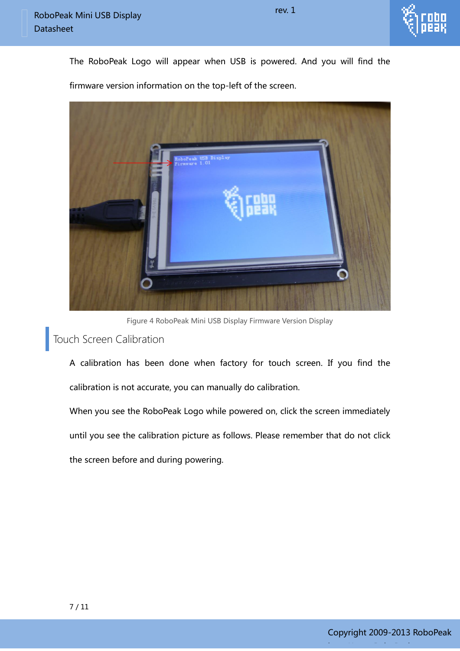



Figure 4 RoboPeak Mini USB Display Firmware Version Display

#### <span id="page-7-0"></span>Touch Screen Calibration

A calibration has been done when factory for touch screen. If you find the calibration is not accurate, you can manually do calibration.

When you see the RoboPeak Logo while powered on, click the screen immediately until you see the calibration picture as follows. Please remember that do not click the screen before and during powering.

rev. 1



http://www.RoboPeak.com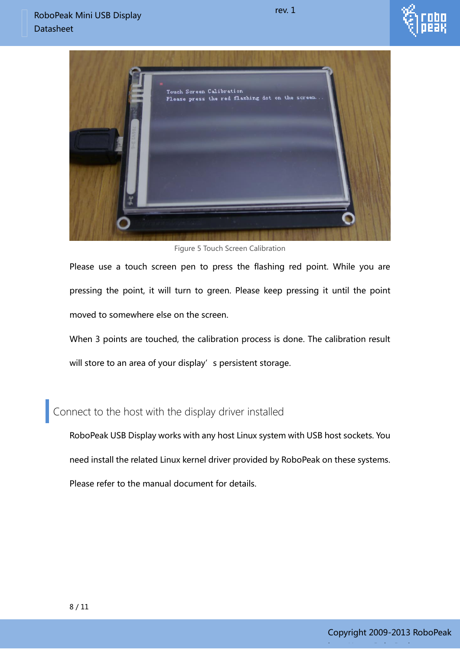



Figure 5 Touch Screen Calibration

Please use a touch screen pen to press the flashing red point. While you are pressing the point, it will turn to green. Please keep pressing it until the point moved to somewhere else on the screen.

When 3 points are touched, the calibration process is done. The calibration result will store to an area of your display's persistent storage.

<span id="page-8-0"></span>Connect to the host with the display driver installed

RoboPeak USB Display works with any host Linux system with USB host sockets. You need install the related Linux kernel driver provided by RoboPeak on these systems. Please refer to the manual document for details.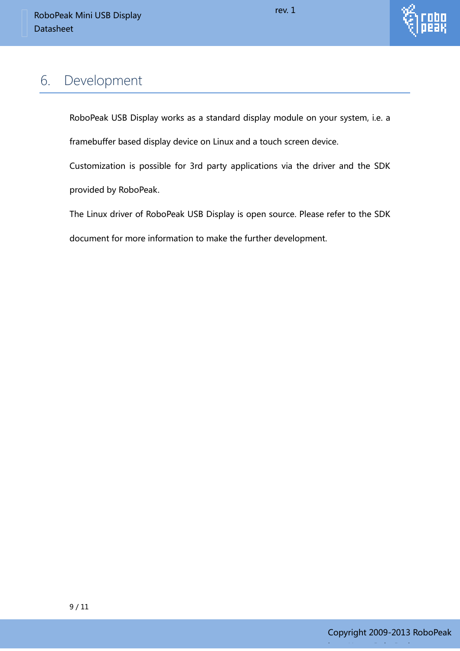

#### <span id="page-9-0"></span>6. Development

RoboPeak USB Display works as a standard display module on your system, i.e. a

framebuffer based display device on Linux and a touch screen device.

Customization is possible for 3rd party applications via the driver and the SDK provided by RoboPeak.

The Linux driver of RoboPeak USB Display is open source. Please refer to the SDK document for more information to make the further development.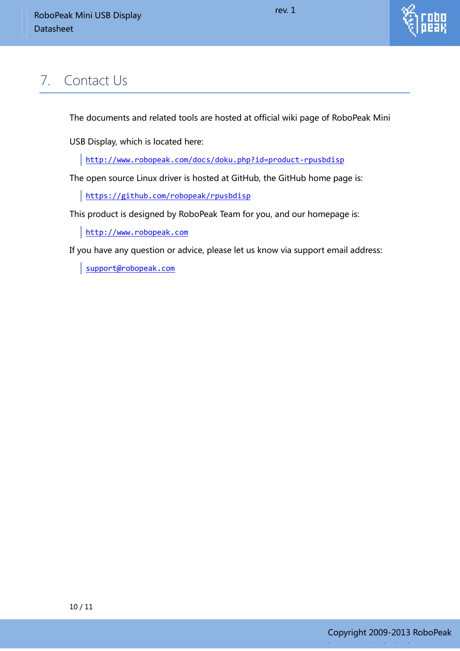

## <span id="page-10-0"></span>7. Contact Us

The documents and related tools are hosted at official wiki page of RoboPeak Mini

USB Display, which is located here:

<http://www.robopeak.com/docs/doku.php?id=product-rpusbdisp>

The open source Linux driver is hosted at GitHub, the GitHub home page is:

<https://github.com/robopeak/rpusbdisp>

This product is designed by RoboPeak Team for you, and our homepage is:

[http://www.robopeak.com](http://www.robopeak.com/)

If you have any question or advice, please let us know via support email address:

[support@robopeak.com](mailto:support@robopeak.com)